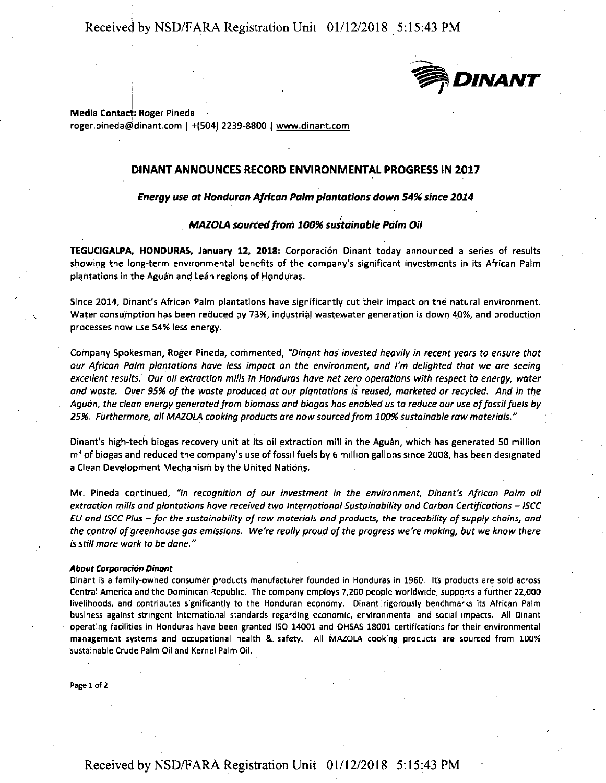Received by NSD/FARA Registration Unit 01/12/2018 .5:15:43 PM



**Media Contact: Roger Pineda** roger.pineda@dinant.com I +(504) 2239-8800 I www.dinant.com

### **DINANT ANNOUNCES RECORD ENVIRONMENTAL PROGRESS IN 2017**

#### **Energy use at Honduran African Palm plantations dawn 54% since 2014**

#### **MA20LA sourced from 100% sustainable Palm Oil**

**TEGUCIGALPA, HONDURAS, January 12, 2018:** Corporaci6n Dinant today announced a series of results showing the long-term environmental benefits of the company's significant investments in its African Palm plantations in the Aguan and Lean regions of Honduras.

Since 2014, Dinant's African Palm plantations have significantly cut their impact on the natural environment. Water consumption has been reduced by 73%, industrial wastewater generation is down 40%, and production processes now use 54% less energy.

Company Spokesman, Roger Pineda, commented, *"Dinant has invested heavily in recent years* to *ensure that our African Palm plantations have less impact* on *the environment, and I'm delighted that we are seeing excellent results. Our oil extraction mills in Honduras have net zero operations with respect* to *energy, water and waste. Over 95%* of *the waste produced ot our plantations is reused, marketed or recycled. And in the Aguon, the clean energy generated from biomass and biogas hos enabled us* to *reduce our use of fossil fuels by 25%. Furthermore, oil MAZOLA cooking products are now sourced from 100% sustainable raw materials."* 

Dinant's high-tech biogas recovery unit at its oil extraction mill in the Aguan, which has generated 50 million  $m<sup>3</sup>$  of biogas and reduced the company's use of fossil fuels by 6 million gallons since 2008, has been designated a Clean Development Mechanism by the United Nations.

Mr. Pineda continued, *"In recognition of our investment in the environment, Dinant's African Palm oil extraction mills and plantations have received two International Sustainability and Carbon Certifications – ISCC EU and ISCC Plus* - *for the sustainability* of *row materials and products, the traceability of supply chains, and*  the control of greenhouse gas emissions. We're really proud of the progress we're making, but we know there *is still more work* to *be done."* 

#### *About Corparaci6n Dinant*

**Oinant iS a family-owned cons·umer products manufacturer founded in Honduras in 1960. Its products are sold across**  Central America and the Dominican Republic. The company employs 7,200 people worldwide, supports a further 22,000 **livelihoods, and contributes significantly to the Honduran economy. Dinant rigorously benchmarks its African Palm**  business against stringent international standards regarding economic, environmental and social impacts. All Dinant operating facilities in Honduras have been granted ISO 14001 and OHSAS 18001 certifications for their environmental management systems and occupational health & safety. All MAZOLA cooking products **are** sourced from 100% sustainable Crude Palm Oil and Kernel Palm Oil.

**Page 1 of 2** 

*)*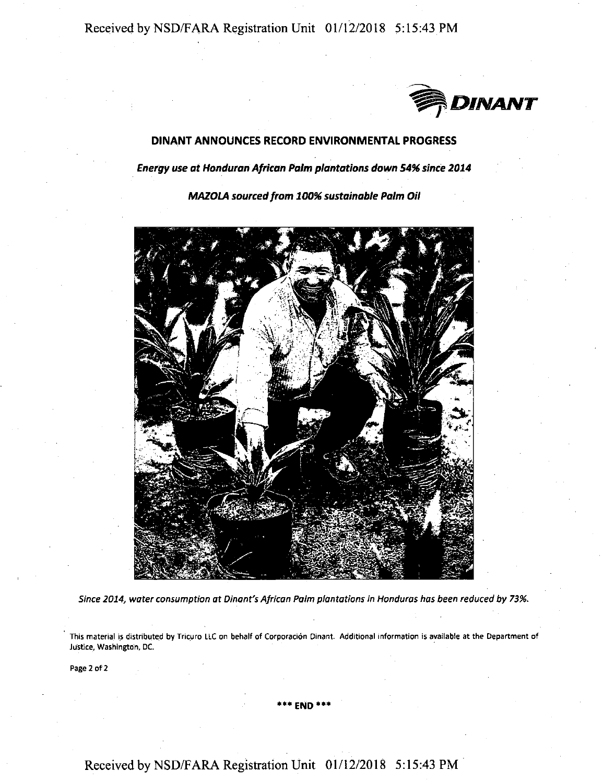Received by NSD/FARA Registration Unit 01/12/2018 5:15:43 PM



## DINANT ANNOUNCES RECORD ENVIRONMENTAL PROGRESS

**Energy use at Handuran African Palm p/antatians dawn 54% since 2014** 

**MAZOLA sourced from 100% sustainable Palm Oil** 



*Since 2014, water consumption at Dinont's African Palm plantations in Honduras has been reduced by 73%.* 

This material is distributed by Tricuro LLC on behalf of Corporación Dinant. Additional information is available at the Department of Justice, Washington, DC.

Page 2 of 2

#### **\*\*\*END\*\*\***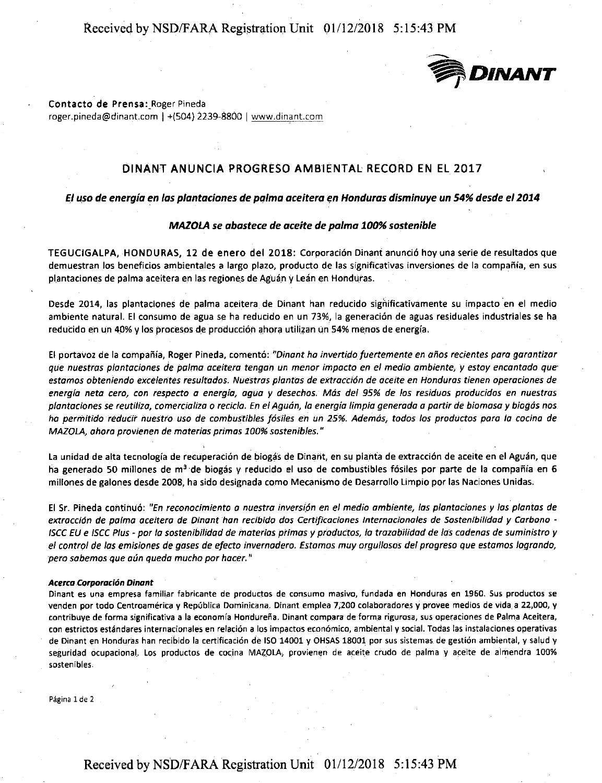# Received by NSD/FARA Registration Unit 01/12/2018 5: 15:43 PM



#### **Contacto de Prensa:\_Roger** Pineda

roger.pineda@dinant.com I +(504) 2239-8800 I www.dinant.com

## DINANT ANUNCIA PROGRESO AMBIENTAL RECORD EN EL 2017

El uso de energia en las plantaciones de pa/ma aceitera en Honduras disminuye un 54% desde el 2014

#### *MAZOLA se abastece de aceite de pa/ma 100% sostenible*

TEGUCIGALPA, HONDURAS, 12 de enero del 2018: Corporaci6n Dinant anunci6 hoy una serie de resultados que demuestran los beneficios ambientales a largo plazo, producto de las significativas inversiones de la compañía, en sus plantaciones de palma aceitera en las regiones de Aguán y Leán en Honduras.

Desde 2014, las plantaciones de palma aceitera de Dinant han reducido significativamente su impacto en el medio ambiente natural. El consumo de agua se ha reducido en un 73%, la generación de aguas residuales industriales se ha reducido en un 40% y los procesos de producción ahora utilizan un 54% menos de energía.

El portavoz de la compaiiia, Roger Pineda, coment6: *"Dinant ha invertidafuertemente en aiias recientes para garantizar que nuestras plantaciones de pa/ma aceitera tengan un menor impacta en el media ambiente, y estoy encantada que· estamos abtenienda excelentes resultados. Nuestras plantas de extraccion de aceite en Honduras tienen aperaciones de energia neta cera, can respecta a energia, agua y desechas. Mas de/ 95% de las residues producidas en nuestras plantaciones se reutiliza, camercializa* o *recicla. En el Aguan, la energia limpia generada a partir de biomasa y biagas nos ha permitida reducit nuestra usa de combustibles Josi/es en un* 25%. *Ademas, tadas /os productos para la cocina de MAZOLA, ahora provienen de mater/as primas 100% sostenib/es."* 

La unidad de alta tecnología de recuperación de biogás de Dinant, en su planta de extracción de aceite en el Aguán, que ha generado 50 millones de m<sup>a</sup> de biogás y reducido el uso de combustibles fósiles por parte de la compañía en 6 millones de galones desde 2008, ha side designada come Mecanismo de Desarrollo Limpio por las Naciones Unidas.

El Sr. Pineda continu6: *"En reconacimienta a nuestra inversion en el media ambiente, las plantacianes y las plantas de*  extracción de palma aceitera de Dinant han recibido dos Certificaciones Internacionales de Sostenibilidad y Carbono -*/SCC EU e /SCC Plus* - *par la sastenibilidad de materias primas y productos, la trazabilidad de las codenas de suministra y el control de las emisiones de gases de efecto invernadera. Estamos muy orgul/osos de/ progreso que estamos lagrando, pero sabemos que aun queda mucha por hacer."* 

#### **Acerca Corporaci6n Dinant**

Dinant es una empresa familiar fabricante de productos de consumo masivo, fundada en Honduras en 1960. Sus productos se venden por todo Centroamérica y República Dominicana. Dinant emplea 7,200 colaboradores y provee medios de vida a 22,000, y contribuye de forma significativa a la economía Hondureña. Dinant compara de forma rigurosa, sus operaciones de Palma Aceitera, con estrictos estándares internacionales en relación a los impactos económico, ambiental y social. Todas las instalaciones operativas de Dinant en Honduras han recibido la certificación de ISO 14001 y OHSAS 18001 por sus sistemas de gestión ambiental, y salud y seguridad ocupacional. Los productos de cocina MAZOLA, provienen de aceite crudo de palma y aceite de almendra 100% sostenibles.

Página 1 de 2